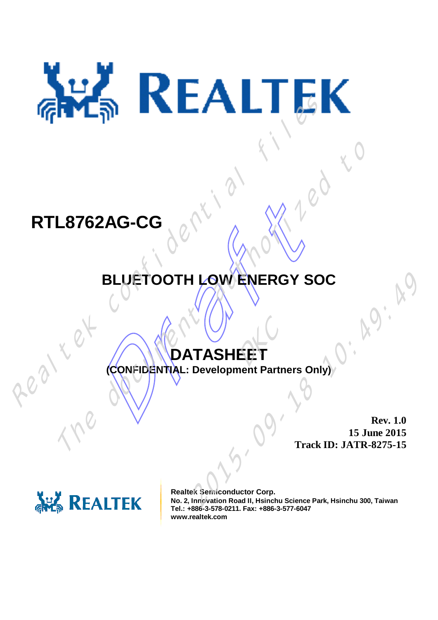# RTL8762AG-CG<br>
BLUETOOTH LOW ENERGY SO

#### **RTL8762AG-CG**

## 62AG-CG<br>BLUETOOTH LOW ENERGY SC<br>CONFIDENTIAL: Development Partners On **BLUETOOTH LOW ENERGY SOC** TRESS AND CONTROLLED TREADS AND TREAD THE DEVELOPMENT ALL Development Partners Only)

### DATASHEET

**(CONFIDENTIAL: Development Partners Only)**

**Rev. 1.0 15 June 2015 Track ID: JATR-8275-15**



**Realtek Semiconductor Corp. No. 2, Innovation Road II, Hsinchu Science Park, Hsinchu 300, Taiwan Tel.: +886-3-578-0211. Fax: +886-3-577-6047 www.realtek.com** 2015-09-18 10:49:49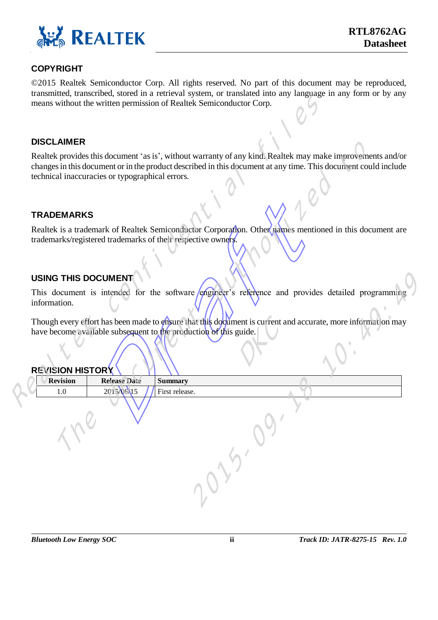

#### **COPYRIGHT**

© 2015 Realtek Semiconductor Corp. All rights reserved. No part of this document may be reproduced, transmitted, transcribed, stored in a retrieval system, or translated into any language in any form or by any means without the written permission of Realtek Semiconductor Corp.

#### **DISCLAIMER**

#### **TRADEMARKS**

#### **USING THIS DOCUMENT**

#### **REVISION HISTORY**

|                                         |                                                 | aansiintee, aanserioed, stored in a retrievar system, or aansiated mto any ianguage in any rorm or by any<br>means without the written permission of Realtek Semiconductor Corp.                                                                                                       |
|-----------------------------------------|-------------------------------------------------|----------------------------------------------------------------------------------------------------------------------------------------------------------------------------------------------------------------------------------------------------------------------------------------|
| <b>DISCLAIMER</b>                       |                                                 |                                                                                                                                                                                                                                                                                        |
|                                         | technical inaccuracies or typographical errors. | Realtek provides this document 'as is', without warranty of any kind. Realtek may make improvements and/or<br>changes in this document or in the product described in this document at any time. This document could include                                                           |
| <b>TRADEMARKS</b>                       |                                                 |                                                                                                                                                                                                                                                                                        |
|                                         |                                                 | Realtek is a trademark of Realtek Semiconductor Corporation. Other names mentioned in this document are<br>trademarks/registered trademarks of their respective owners.                                                                                                                |
| <b>USING THIS DOCUMENT</b>              |                                                 |                                                                                                                                                                                                                                                                                        |
| information.<br><b>REVISION HISTORY</b> |                                                 | This document is intended for the software engineer's reference and provides detailed programming<br>Though every effort has been made to ensure that this document is current and accurate, more information may<br>have become available subsequent to the production of this guide. |
| <b>Revision</b><br>1.0                  | <b>Release Date</b><br>2015/06/15               | <b>Summary</b><br>First release.                                                                                                                                                                                                                                                       |
|                                         |                                                 | 225-29.                                                                                                                                                                                                                                                                                |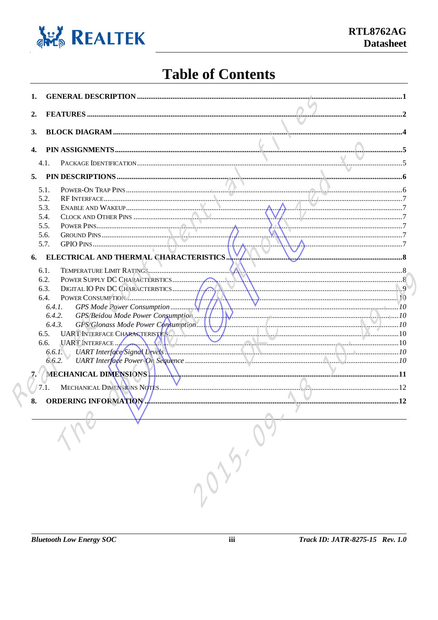

#### **Table of Contents**

| 1.           |                                             |  |
|--------------|---------------------------------------------|--|
| 2.           |                                             |  |
| 3.           |                                             |  |
| $\mathbf{4}$ |                                             |  |
|              |                                             |  |
|              | 4.1.                                        |  |
| 5.           |                                             |  |
|              | 5.1.                                        |  |
|              | 5.2.                                        |  |
|              | 5.3.                                        |  |
|              | 5.4.<br>5.5.                                |  |
|              | 7<br>5.6.                                   |  |
|              | GPIO PINS.<br>5.7.                          |  |
|              | ELECTRICAL AND THERMAL CHARACTERISTICS      |  |
| 6.           |                                             |  |
|              | 6.1.                                        |  |
|              | 6.2.                                        |  |
|              | 6.3.                                        |  |
|              | POWER CONSUMPTION.<br>6.4.                  |  |
|              | 6.4.1.                                      |  |
|              | GPS/Beidou Mode Power Consumption<br>6.4.2. |  |
|              | 6.4.3.<br>6.5.                              |  |
|              |                                             |  |
|              |                                             |  |
|              | 6.6.2.                                      |  |
|              | MECHANICAL DIMENSIONS                       |  |
| 7.           |                                             |  |
|              | $7\overline{.1}$ .                          |  |
| 8.           | 12<br><b>ORDERING INFORMATION</b>           |  |
|              |                                             |  |
|              |                                             |  |
|              |                                             |  |
|              |                                             |  |
|              |                                             |  |
|              |                                             |  |
|              |                                             |  |
|              |                                             |  |
|              | 10-20-01                                    |  |
|              |                                             |  |
|              |                                             |  |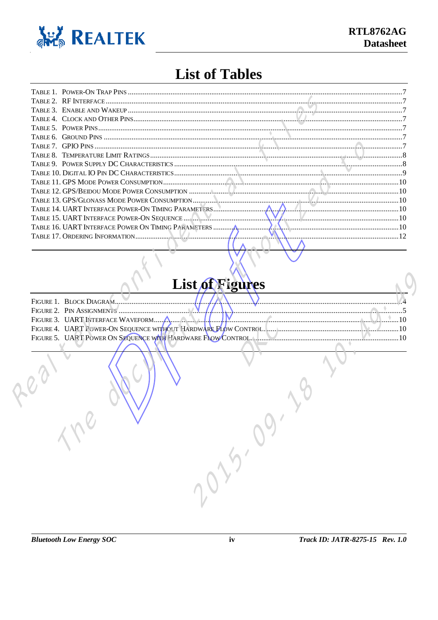

#### **List of Tables**

| TABLE 15. UART INTERFACE POWER-ON SEQUENCE |  |
|--------------------------------------------|--|
|                                            |  |
|                                            |  |
|                                            |  |

#### List of Figures

| FIGURE 1. BLOCK DIAGRAM           |  |  |                                                               |
|-----------------------------------|--|--|---------------------------------------------------------------|
| FIGURE 2. PIN ASSIGNMENTS         |  |  |                                                               |
| FIGURE 3. UART INTERFACE WAVEFORM |  |  |                                                               |
|                                   |  |  |                                                               |
|                                   |  |  | FIGURE 5. UART POWER ON SEQUENCE WITH HARD WARE FLOW CONTROL. |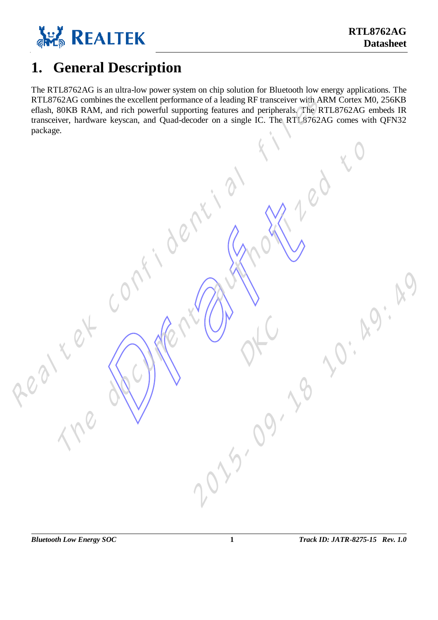

#### <span id="page-4-0"></span>**1. General Description**

The RTL8762AG is an ultra -low power system on chip solution for Bluetooth low energy applications. The RTL8762AG combines the excellent performance of a leading RF transceiver with ARM Cortex M0, 256KB eflash, 80KB RAM, and rich powerful supporting features and peripherals. The RTL8762AG embeds IR transceiver, hardware keyscan, and Quad -decoder on a single IC. The RTL8762AG comes with QFN32 PET NY TOLET CONDitions the excellent performance of a ladding RF memories with QRN Concert MAQ, 256KB RM<br>
Tenderic Files The document as peach and Quad-decoder on a single IC. The RTIS762AG comes with QRN22<br>
prackage.<br>

References of the Contractor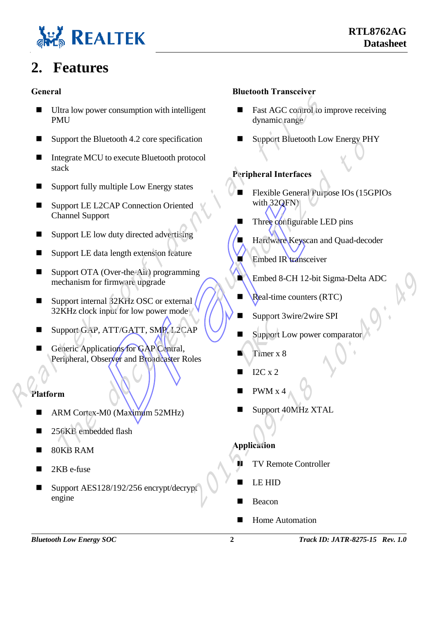

#### <span id="page-5-0"></span>**2. Features**

#### **General**

- Ultra low power consumption with intelligent **PMU**
- $\blacksquare$  Support the Bluetooth 4.2 core specification
- Integrate MCU to execute Bluetooth protocol stack
- Support fully multiple Low Energy states
- Support LE L2CAP Connection Oriented Channel Support
- Support LE low duty directed advertising
- Support LE data length extension feature
- Support OTA (Over-the-Air) programming mechanism for firmware upgrade
- Support internal 32KHz OSC or external 32KHz clock input for low power mode.
- Support GAP, ATT/GATT, SMP, L2CAP
- E L2CAP Connection Oriented<br>
E low duty directed advertising<br>
E data length extension feature<br>
E data length extension feature<br>
Draft (Over-the-Air) programming<br>
Information feature<br>
Draft (Diver-the-Air) programming<br>
Inf Generic Applications for GAP Central, Peripheral, Observer and Broadcaster Roles Home Authorities Confidential files Authorities Confidential files Authorities Authorities Authorities Support Elisabeth Confidential Support Elisabeth Confidential Support Elisabeth Channel Support Elisabeth Channel Supp

#### **Platform**

- ARM Cortex-M0 (Maximum 52MHz)
- 256KB embedded flash
- 80KB RAM
- 2KB e-fuse
- Support AES128/192/256 encrypt/decrypt engine

#### **Bluetooth Transceiver**

- Fast AGC control to improve receiving dynamic range
- Support Bluetooth Low Energy PHY

#### **Peripheral Interfaces**

- Flexible General Purpose IOs (15GPIOs with 32QFN)
- Three configurable LED pins
- Hardware Keyscan and Quad-decoder
- Embed IR transceiver
- Embed 8-CH 12-bit Sigma -Delta ADC
- **Real-time counters (RTC)**
- Support 3wire/2wire SPI
- Support Low power comparator
- Timer x 8
- I2C x 2
- PWM x 4
- Support 40MHz XTAL

#### **Application**

- TV Remote Controller
- LE HID
- Beacon
-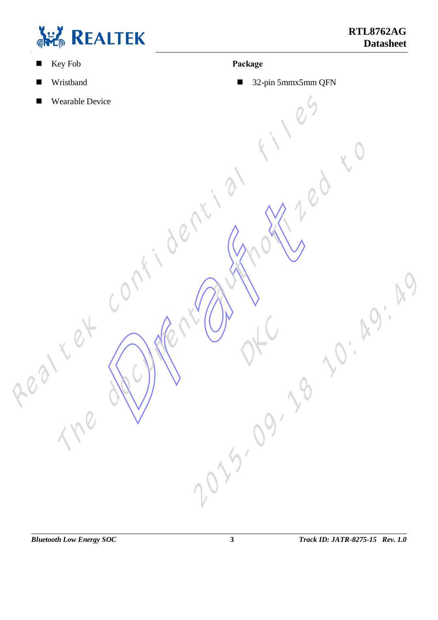

#### ■ Key Fob

- **Wristband**
- **Nearable Device** Realtech confidential files to

#### **Package**

■ 32-pin 5mmx5mm QFN

References of the Contractor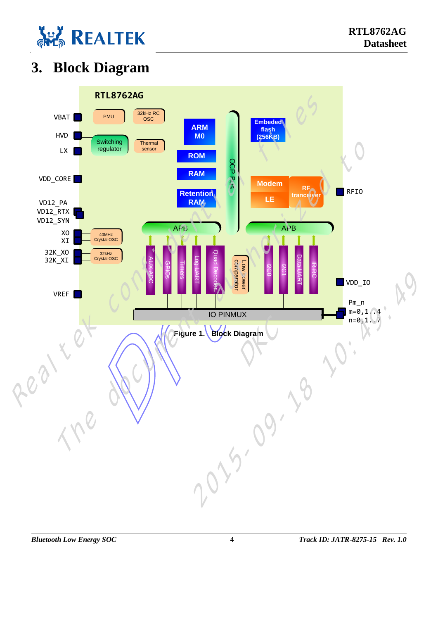

#### <span id="page-7-0"></span>**3. Block Diagram**

<span id="page-7-1"></span>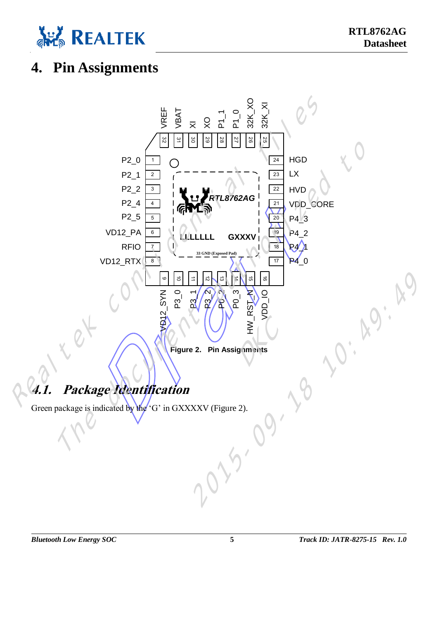

#### <span id="page-8-0"></span>**4. Pin Assignment s**

<span id="page-8-2"></span><span id="page-8-1"></span>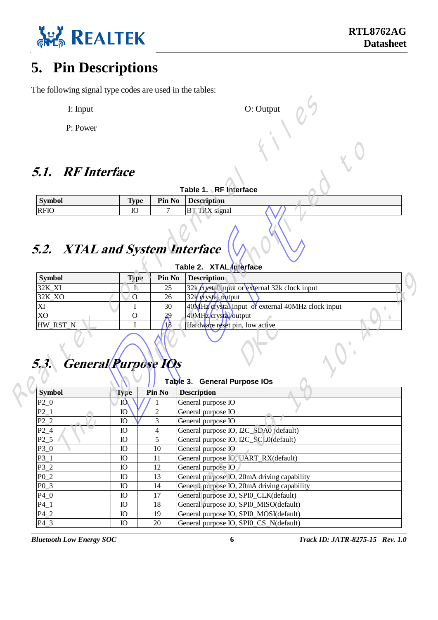

#### <span id="page-9-0"></span>**5. Pin Descriptions**

The following signal type codes are used in the tables:

- I: Input O: Output O: Output
- P: Power

#### <span id="page-9-1"></span>**5.1. RF Interface**

|               |             | Table 1. RF Interface     |
|---------------|-------------|---------------------------|
| <b>Symbol</b> | <b>Type</b> | <b>Pin No</b> Description |
| <b>RFIO</b>   | IC          | <b>BT TRX</b> signal      |
|               |             |                           |

#### **5.2. XTAL and System Interface**

| <b>Symbol</b>                      | <b>Type</b>  | Pin No               | Description                                       |
|------------------------------------|--------------|----------------------|---------------------------------------------------|
| <b>RFIO</b>                        | IO           |                      | <b>BT TRX</b> signal                              |
| 5.2. XTAL and System Interface     |              |                      |                                                   |
|                                    |              |                      | Table 2. XTAL Interface                           |
| <b>Symbol</b>                      | <b>Type</b>  | Pin No               | <b>Description</b>                                |
| 32K_XI                             |              | 25                   | 32k crystal input or external 32k clock input     |
| 32K_XO                             | O            | 26                   | 32k crystal output                                |
| XI                                 |              | 30                   | 40MHz crystal input or external 40MHz clock input |
| XO                                 | O            | 29                   | 40MHz crystal output                              |
| HW_RST_N                           | T            | $\overline{15}$      | Hardware reset pin, low active                    |
| <b>General Purpose 10s</b><br>5.3. |              |                      |                                                   |
|                                    |              | Table <sup>3</sup> . | <b>General Purpose IOs</b>                        |
| <b>Symbol</b>                      | <b>Type</b>  | Pin No               | <b>Description</b>                                |
| $P2_0$                             | <b>IQ</b>    |                      | General purpose IO                                |
| $P2_1$                             | $\mathbf{Q}$ |                      | General purpose IO                                |
| $P2_2$                             | IO           | 3                    | General purpose IO                                |

#### **5.3. General Purpose IOs**

| Table 1 RF Interface<br><b>Description</b><br>Pin No<br><b>BT TRX</b> signal<br>7<br><b>5.2. XTAL and System Interface</b><br>Table 2. XTAL Interface<br>Pin No<br>Description<br>32k crystal input or external 32k clock input<br>25<br>32k crystal output<br>26<br>40MHz orystal input or external 40MHz clock input<br>30 |
|------------------------------------------------------------------------------------------------------------------------------------------------------------------------------------------------------------------------------------------------------------------------------------------------------------------------------|
|                                                                                                                                                                                                                                                                                                                              |
|                                                                                                                                                                                                                                                                                                                              |
|                                                                                                                                                                                                                                                                                                                              |
|                                                                                                                                                                                                                                                                                                                              |
|                                                                                                                                                                                                                                                                                                                              |
|                                                                                                                                                                                                                                                                                                                              |
|                                                                                                                                                                                                                                                                                                                              |
|                                                                                                                                                                                                                                                                                                                              |
|                                                                                                                                                                                                                                                                                                                              |
| 40MHz crystal output<br>29                                                                                                                                                                                                                                                                                                   |
| $\sqrt{5}$<br>Hardware reset pin, low active<br><b>General Purpose 10s</b>                                                                                                                                                                                                                                                   |
| Table 3. General Purpose IOs                                                                                                                                                                                                                                                                                                 |
| Pin No<br><b>Description</b>                                                                                                                                                                                                                                                                                                 |
| General purpose IO                                                                                                                                                                                                                                                                                                           |
| General purpose IO                                                                                                                                                                                                                                                                                                           |
| 3<br>General purpose IO                                                                                                                                                                                                                                                                                                      |
| $\overline{4}$<br>General purpose IO, I2C_SDA0 (default)                                                                                                                                                                                                                                                                     |
| 5<br>General purpose IO, I2C_SCL0(default)                                                                                                                                                                                                                                                                                   |
| $10\,$<br>General purpose IO                                                                                                                                                                                                                                                                                                 |
| General purpose IO, UART_RX(default)<br>11                                                                                                                                                                                                                                                                                   |
| 12<br>General purpose IO<br>General purpose IO, 20mA driving capability                                                                                                                                                                                                                                                      |
| 13<br>14<br>General purpose IO, 20mA driving capability                                                                                                                                                                                                                                                                      |
| 17<br>General purpose IO, SPI0_CLK(default)                                                                                                                                                                                                                                                                                  |
| General purpose IO, SPI0_MISO(default)<br>18                                                                                                                                                                                                                                                                                 |
| General purpose IO, SPI0_MOSI(default)<br>19                                                                                                                                                                                                                                                                                 |
| 20<br>General purpose IO, SPI0_CS_N(default)                                                                                                                                                                                                                                                                                 |
|                                                                                                                                                                                                                                                                                                                              |

*Bluetooth Low Energy SOC*

**6** *Track ID: JATR -8275 -15 Rev. 1.0*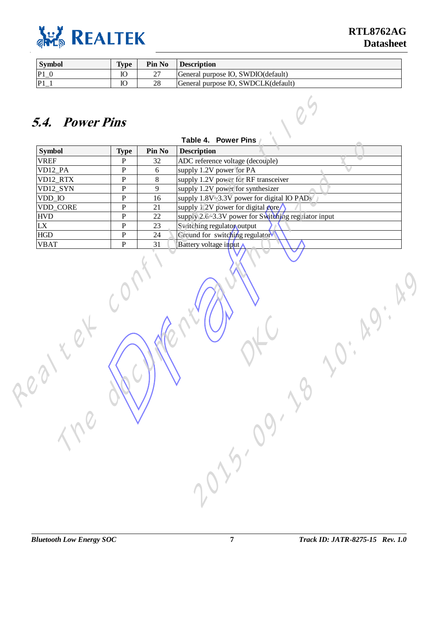<span id="page-10-0"></span>

| <b>Symbol</b>  | <b>Type</b> | Pin No | <b>Description</b>                  |
|----------------|-------------|--------|-------------------------------------|
| P <sub>1</sub> |             | ∼      | General purpose IO, SWDIO(default)  |
| P1             |             | 28     | General purpose IO, SWDCLK(default) |

#### **5.4. Power Pins**

|                              | <b>Type</b>  | Pin No | Table 4. Power Pins<br><b>Description</b>           |
|------------------------------|--------------|--------|-----------------------------------------------------|
| <b>Symbol</b><br><b>VREF</b> | $\mathbf{P}$ | 32     | ADC reference voltage (decouple)                    |
| VD12_PA                      | ${\bf P}$    | 6      | supply 1.2V power for PA                            |
| VD12_RTX                     | ${\bf P}$    | 8      | supply 1.2V power for RF transceiver                |
| VD12_SYN                     | ${\bf P}$    | 9      | supply 1.2V power for synthesizer                   |
| VDD_IO                       | ${\bf P}$    | 16     | supply 1.8V~3.3V power for digital IO PADs          |
| VDD_CORE                     | ${\bf P}$    | 21     | supply 1.2V power for digital core                  |
| <b>HVD</b>                   | ${\bf P}$    | 22     | supply 2.6~3.3V power for Switching regulator input |
| LX                           | ${\bf P}$    | 23     | Switching regulator output                          |
| <b>HGD</b>                   | ${\bf P}$    | 24     | Ground for switching regulator                      |
| <b>VBAT</b>                  | ${\bf P}$    | 31     | Battery voltage input                               |
|                              |              |        |                                                     |
|                              |              |        | 225.09.                                             |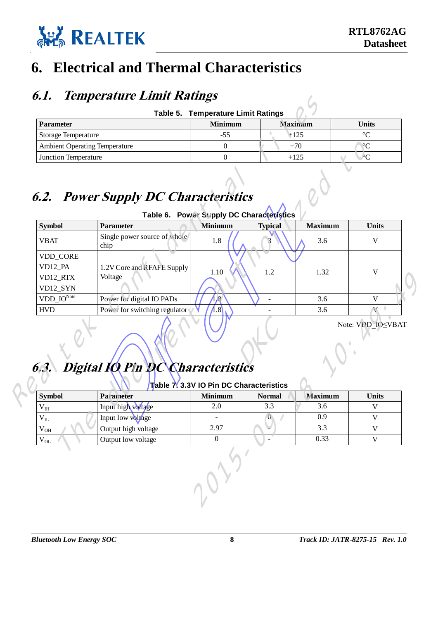

#### <span id="page-11-0"></span>**6. Electrical and Thermal Characteristics**

#### <span id="page-11-1"></span>**6.1. Temperature Limit Ratings**

<span id="page-11-3"></span>

|                                      | Table 5. Temperature Limit Ratings |                |                 |
|--------------------------------------|------------------------------------|----------------|-----------------|
| <b>Parameter</b>                     | <b>Minimum</b>                     | <b>Maximum</b> | Units           |
| <b>Storage Temperature</b>           | -55                                | $+125$         | $\circ$         |
| <b>Ambient Operating Temperature</b> |                                    | $+70$          | $\rm ^{\circ}C$ |
| <b>Junction Temperature</b>          |                                    | $+125$         | $\rm ^{\circ}C$ |

#### <span id="page-11-4"></span><span id="page-11-2"></span>**6.2. Power Supply DC Characteristics**

| Table 6. Power Supply DC Characteristics |  |  |  |  |  |  |
|------------------------------------------|--|--|--|--|--|--|
|------------------------------------------|--|--|--|--|--|--|

| <b>Parameter</b>                                     |                                             | <b>Minimum</b>                           | <b>Maximum</b>      |                | <b>Units</b>      |
|------------------------------------------------------|---------------------------------------------|------------------------------------------|---------------------|----------------|-------------------|
| <b>Storage Temperature</b>                           |                                             | $-55$                                    | $\bullet$<br>$+125$ |                | $\rm ^{\circ}C$   |
| <b>Ambient Operating Temperature</b>                 |                                             | $\overline{0}$                           | $+70$               |                | $\rm ^{\circ}C$   |
| Junction Temperature                                 |                                             | $\boldsymbol{0}$                         | $+125$              |                | $\overline{C}$    |
|                                                      | <b>6.2. Power Supply DC Characteristics</b> | Table 6. Power Supply DC Characterístics |                     |                |                   |
| <b>Symbol</b>                                        | <b>Parameter</b>                            | Minimum                                  | <b>Typical</b>      | <b>Maximum</b> | <b>Units</b>      |
| <b>VBAT</b>                                          | Single power source of whole<br>chip        |                                          |                     | $\sqrt{3.6}$   | V                 |
| VDD_CORE<br>VD12_PA<br>VD12_RTX<br>VD12_SYN          | 1.2V Core and RFAFE Supply<br>Voltage       | <b>1.YO</b>                              | 1.2                 | 1.32           | V                 |
| $VDD$ <sub>-IO</sub> Note                            | Power for digital IO PADs                   | 1.8                                      |                     | 3.6            | V                 |
| <b>HVD</b>                                           | Power for switching regulator               | 1.8                                      |                     | 3.6            | $\mathbf{V}$      |
| 6.3.                                                 | Digital IO Pin DC Characteristics           | Table 7.3.3V IO Pin DC Characteristics   |                     |                | Note: VDD-IOSVBAT |
| <b>Symbol</b>                                        | Parameter                                   | <b>Minimum</b>                           | <b>Normal</b>       | <b>Maximum</b> | <b>Units</b>      |
|                                                      | Input high voltage                          | 2.0                                      | 3.3                 | 3.6            | V                 |
|                                                      |                                             |                                          | θ                   | 0.9            | $\mathbf V$       |
|                                                      | Input low voltage                           |                                          |                     | 3.3            | $\mathbf V$       |
|                                                      | Output high voltage                         | 2.97                                     |                     |                |                   |
| $V_{IH}$<br>$\rm V_{II}$<br>$\rm V_{OH}$<br>$V_{OL}$ | Output low voltage                          | $\boldsymbol{0}$                         |                     | 0.33           | $\mathbf V$       |

#### **6.3. Digital IO Pin DC Characteristics**

#### **Table 7. 3.3V IO Pin DC Characteristics**

| <b>Symbol</b>   | Parameter           | <b>Minimum</b> | <b>Normal</b> | <b>Maximum</b> | <b>Units</b> |
|-----------------|---------------------|----------------|---------------|----------------|--------------|
| $V_{IH}$        | Input nigh voltage  |                |               | 3.6            |              |
| $V_{\text{IL}}$ | Input low voltage   |                |               | 0.9            |              |
| $V_{OH}$        | Output high voltage | 2.97           |               | 3.3            |              |
| $V_{OL}$        | Output low voltage  |                |               | 0.33           |              |

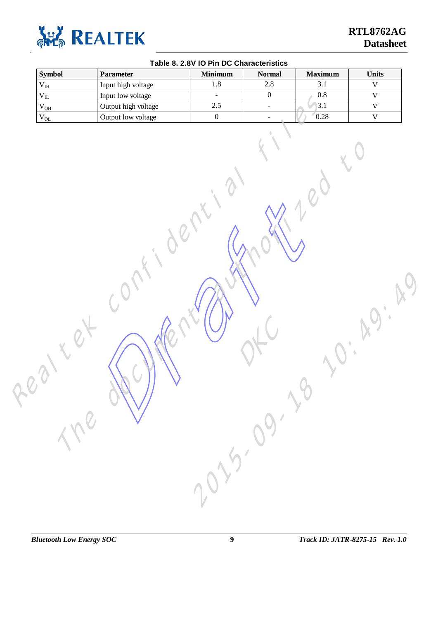<span id="page-12-0"></span>

| $1.8\,$<br>$2.8\,$<br>3.1<br>Input high voltage<br>$\mathbf V$<br>$\rm V_{\rm IH}$<br>$\overline{0}$<br>$0.8\,$<br>$\mathbf V$<br>$\rm V_{IL}$<br>Input low voltage<br>$\blacksquare$<br>2.5<br>3.1<br>Output high voltage<br>$\mathbf V$<br>$\rm V_{OH}$<br>$\equiv$<br>0.28<br>$\boldsymbol{0}$<br>Output low voltage<br>$\mathbf V$<br>$\rm V_{OL}$<br>$\sim$<br>$\mathcal{L}$ | <b>The W</b><br>2010-110 | <b>Symbol</b> | <b>Parameter</b> | <b>Minimum</b> | <b>Normal</b> | <b>Maximum</b> | <b>Units</b> |
|-----------------------------------------------------------------------------------------------------------------------------------------------------------------------------------------------------------------------------------------------------------------------------------------------------------------------------------------------------------------------------------|--------------------------|---------------|------------------|----------------|---------------|----------------|--------------|
|                                                                                                                                                                                                                                                                                                                                                                                   |                          |               |                  |                |               |                |              |
|                                                                                                                                                                                                                                                                                                                                                                                   |                          |               |                  |                |               |                |              |
|                                                                                                                                                                                                                                                                                                                                                                                   |                          |               |                  |                |               |                |              |
|                                                                                                                                                                                                                                                                                                                                                                                   |                          |               |                  |                |               |                |              |
|                                                                                                                                                                                                                                                                                                                                                                                   |                          |               |                  |                |               |                |              |

#### **Table 8. 2.8V IO Pin DC Characteristics**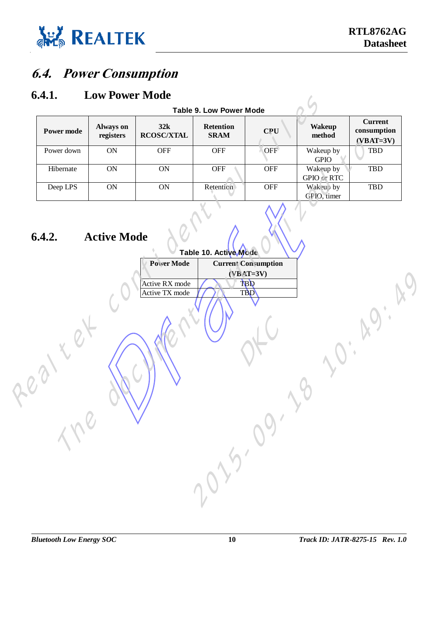<span id="page-13-1"></span>

#### <span id="page-13-0"></span>**6.4. Power Consumption**

#### **6.4.1. Low Power Mode**

<span id="page-13-2"></span>

|                   |                               |                          | <b>Table 9. Low Power Mode</b>  |            |                                 |                                              |
|-------------------|-------------------------------|--------------------------|---------------------------------|------------|---------------------------------|----------------------------------------------|
| <b>Power mode</b> | <b>Always on</b><br>registers | 32k<br><b>RCOSC/XTAL</b> | <b>Retention</b><br><b>SRAM</b> | <b>CPU</b> | <b>Wakeup</b><br>method         | <b>Current</b><br>consumption<br>$(VBAT=3V)$ |
| Power down        | ON                            | <b>OFF</b>               | <b>OFF</b>                      | <b>OFF</b> | Wakeup by<br><b>GPIO</b>        | TBD                                          |
| Hibernate         | <b>ON</b>                     | ON                       | <b>OFF</b>                      | <b>OFF</b> | Wakeup by<br><b>GPIO</b> or RTC | <b>TBD</b>                                   |
| Deep LPS          | <b>ON</b>                     | 0N                       | Retention                       | <b>OFF</b> | Wakeup by<br>GPIO, timer        | <b>TBD</b>                                   |

#### <span id="page-13-3"></span>**6.4.2. Active Mode**

| <b>Power mode</b>           | Always on<br>registers | 32k<br><b>RCOSC/XTAL</b>         | <b>Table 9. Low Power Mode</b><br><b>Retention</b><br><b>SRAM</b> | <b>CPU</b>                                | <b>Wakeup</b><br>method  | <b>Current</b><br>consumption<br>$(VBAT=3V)$ |
|-----------------------------|------------------------|----------------------------------|-------------------------------------------------------------------|-------------------------------------------|--------------------------|----------------------------------------------|
| Power down                  | ON                     | <b>OFF</b>                       | <b>OFF</b>                                                        | OFF                                       | Wakeup by<br><b>GPIO</b> | <b>TBD</b>                                   |
| Hibernate                   | <b>ON</b>              | <b>ON</b>                        | OFF *                                                             | OFF                                       | Wakeup by<br>GPIO or RTC | <b>TBD</b>                                   |
| Deep LPS                    | $\mathbf{ON}$          | $\mathbf{ON}$                    | Retention                                                         | <b>OFF</b>                                | Wakeup by<br>GPIO, timer | TBD                                          |
|                             |                        | <b>Power Mode</b>                | Table 10. Active Mode                                             | <b>Current Consumption</b><br>$(VBAT=3V)$ |                          |                                              |
|                             |                        | Active RX mode<br>Active TX mode |                                                                   | TBD<br><b>TBD</b>                         |                          |                                              |
|                             |                        |                                  |                                                                   |                                           |                          |                                              |
|                             |                        |                                  |                                                                   |                                           |                          |                                              |
|                             |                        |                                  |                                                                   |                                           |                          |                                              |
|                             |                        |                                  |                                                                   |                                           |                          |                                              |
|                             |                        |                                  |                                                                   |                                           |                          |                                              |
|                             |                        |                                  |                                                                   |                                           |                          |                                              |
| $\mathcal{L}_{\mathcal{C}}$ |                        |                                  |                                                                   |                                           |                          |                                              |
|                             |                        |                                  | 225-29                                                            |                                           |                          |                                              |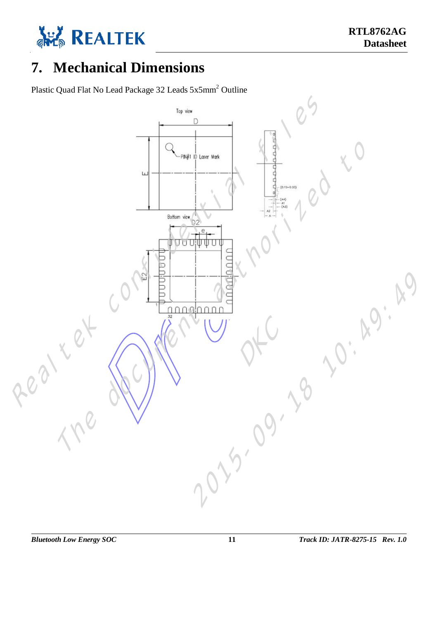

#### <span id="page-14-0"></span>**7. Mechanical Dimensions**

Plastic Quad Flat No Lead Package 32 Leads 5x5mm